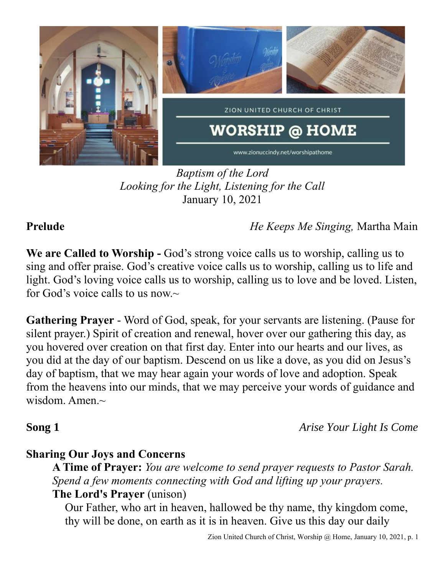

*Baptism of the Lord Looking for the Light, Listening for the Call* January 10, 2021

**Prelude** *He Keeps Me Singing,* Martha Main

**We are Called to Worship -** God's strong voice calls us to worship, calling us to sing and offer praise. God's creative voice calls us to worship, calling us to life and light. God's loving voice calls us to worship, calling us to love and be loved. Listen, for God's voice calls to us now. $\sim$ 

**Gathering Prayer** - Word of God, speak, for your servants are listening. (Pause for silent prayer.) Spirit of creation and renewal, hover over our gathering this day, as you hovered over creation on that first day. Enter into our hearts and our lives, as you did at the day of our baptism. Descend on us like a dove, as you did on Jesus's day of baptism, that we may hear again your words of love and adoption. Speak from the heavens into our minds, that we may perceive your words of guidance and wisdom. Amen. $\sim$ 

**Song 1** *Arise Your Light Is Come*

## **Sharing Our Joys and Concerns**

**A Time of Prayer:** *You are welcome to send prayer requests to Pastor Sarah. Spend a few moments connecting with God and lifting up your prayers.*

### **The Lord's Prayer** (unison)

Our Father, who art in heaven, hallowed be thy name, thy kingdom come, thy will be done, on earth as it is in heaven. Give us this day our daily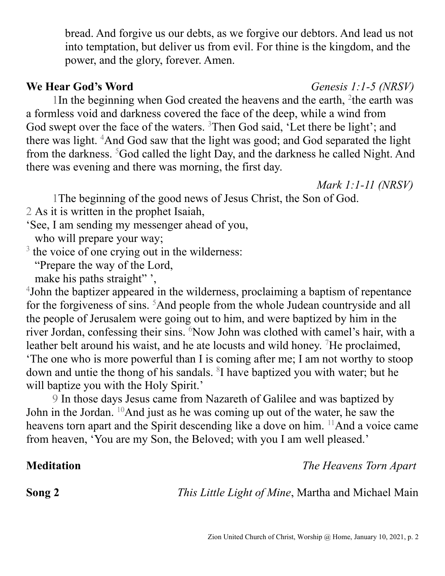bread. And forgive us our debts, as we forgive our debtors. And lead us not into temptation, but deliver us from evil. For thine is the kingdom, and the power, and the glory, forever. Amen.

### **We Hear God's Word** *Genesis 1:1-5 (NRSV)*

1In the beginning when God created the heavens and the earth, <sup>2</sup>the earth was a formless void and darkness covered the face of the deep, while a wind from God swept over the face of the waters. <sup>3</sup>Then God said, 'Let there be light'; and there was light. <sup>4</sup>And God saw that the light was good; and God separated the light from the darkness. <sup>5</sup>God called the light Day, and the darkness he called Night. And there was evening and there was morning, the first day.

*Mark 1:1-11 (NRSV)*

1The beginning of the good news of Jesus Christ, the Son of God.

2 As it is written in the prophet Isaiah,

'See, I am sending my messenger ahead of you,

who will prepare your way;

<sup>3</sup> the voice of one crying out in the wilderness:

"Prepare the way of the Lord,

make his paths straight",

4 John the baptizer appeared in the wilderness, proclaiming a baptism of repentance for the forgiveness of sins. <sup>5</sup>And people from the whole Judean countryside and all the people of Jerusalem were going out to him, and were baptized by him in the river Jordan, confessing their sins. <sup>6</sup>Now John was clothed with camel's hair, with a leather belt around his waist, and he ate locusts and wild honey. <sup>7</sup>He proclaimed, 'The one who is more powerful than I is coming after me; I am not worthy to stoop down and untie the thong of his sandals. <sup>8</sup>I have baptized you with water; but he will baptize you with the Holy Spirit.'

9 In those days Jesus came from Nazareth of Galilee and was baptized by John in the Jordan. <sup>10</sup>And just as he was coming up out of the water, he saw the heavens torn apart and the Spirit descending like a dove on him. <sup>11</sup>And a voice came from heaven, 'You are my Son, the Beloved; with you I am well pleased.'

**Meditation** *The Heavens Torn Apart*

**Song 2** *This Little Light of Mine*, Martha and Michael Main